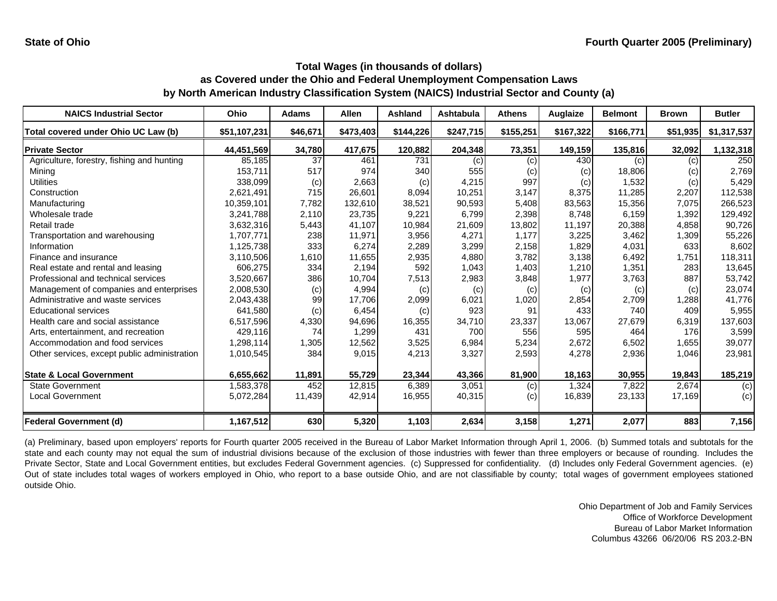| <b>NAICS Industrial Sector</b>               | Ohio         | <b>Adams</b> | <b>Allen</b> | <b>Ashland</b> | Ashtabula | <b>Athens</b> | Auglaize  | <b>Belmont</b> | <b>Brown</b> | <b>Butler</b> |
|----------------------------------------------|--------------|--------------|--------------|----------------|-----------|---------------|-----------|----------------|--------------|---------------|
| Total covered under Ohio UC Law (b)          | \$51,107,231 | \$46,671     | \$473,403    | \$144,226      | \$247,715 | \$155,251     | \$167,322 | \$166,771      | \$51,935     | \$1,317,537   |
| <b>Private Sector</b>                        | 44,451,569   | 34,780       | 417,675      | 120,882        | 204,348   | 73,351        | 149,159   | 135,816        | 32,092       | 1,132,318     |
| Agriculture, forestry, fishing and hunting   | 85,185       | 37           | 461          | 731            | (c)       | (c)           | 430       | (c)            | (c)          | 250           |
| Mining                                       | 153,711      | 517          | 974          | 340            | 555       | (c)           | (c)       | 18,806         | (c)          | 2,769         |
| <b>Utilities</b>                             | 338,099      | (c)          | 2,663        | (c)            | 4,215     | 997           | (c)       | 1,532          | (c)          | 5,429         |
| Construction                                 | 2,621,491    | 715          | 26,601       | 8,094          | 10,251    | 3,147         | 8,375     | 11,285         | 2,207        | 112,538       |
| Manufacturing                                | 10,359,101   | 7,782        | 132,610      | 38,521         | 90,593    | 5,408         | 83,563    | 15,356         | 7,075        | 266,523       |
| Wholesale trade                              | 3,241,788    | 2,110        | 23,735       | 9,221          | 6,799     | 2,398         | 8.748     | 6,159          | 1,392        | 129,492       |
| Retail trade                                 | 3,632,316    | 5,443        | 41,107       | 10,984         | 21,609    | 13,802        | 11,197    | 20,388         | 4,858        | 90,726        |
| Transportation and warehousing               | 1,707,771    | 238          | 11,971       | 3,956          | 4,271     | 1,177         | 3,225     | 3,462          | 1,309        | 55,226        |
| Information                                  | 1,125,738    | 333          | 6,274        | 2,289          | 3,299     | 2,158         | 1,829     | 4,031          | 633          | 8,602         |
| Finance and insurance                        | 3,110,506    | 1,610        | 11,655       | 2,935          | 4,880     | 3,782         | 3,138     | 6,492          | 1,751        | 118,311       |
| Real estate and rental and leasing           | 606,275      | 334          | 2,194        | 592            | 1,043     | 1,403         | 1,210     | 1,351          | 283          | 13,645        |
| Professional and technical services          | 3,520,667    | 386          | 10,704       | 7,513          | 2,983     | 3,848         | 1,977     | 3,763          | 887          | 53,742        |
| Management of companies and enterprises      | 2,008,530    | (c)          | 4,994        | (c)            | (c)       | (c)           | (c)       | (c)            | (c)          | 23,074        |
| Administrative and waste services            | 2,043,438    | 99           | 17,706       | 2,099          | 6,021     | 1,020         | 2,854     | 2,709          | 1,288        | 41,776        |
| <b>Educational services</b>                  | 641,580      | (c)          | 6,454        | (c)            | 923       | 91            | 433       | 740            | 409          | 5,955         |
| Health care and social assistance            | 6,517,596    | 4,330        | 94,696       | 16,355         | 34.710    | 23,337        | 13,067    | 27,679         | 6,319        | 137,603       |
| Arts, entertainment, and recreation          | 429,116      | 74           | 1,299        | 431            | 700       | 556           | 595       | 464            | 176          | 3,599         |
| Accommodation and food services              | 1,298,114    | 1,305        | 12,562       | 3,525          | 6,984     | 5,234         | 2,672     | 6,502          | 1,655        | 39,077        |
| Other services, except public administration | 1,010,545    | 384          | 9,015        | 4,213          | 3,327     | 2,593         | 4,278     | 2,936          | 1,046        | 23,981        |
| <b>State &amp; Local Government</b>          | 6,655,662    | 11,891       | 55,729       | 23,344         | 43,366    | 81,900        | 18,163    | 30,955         | 19,843       | 185,219       |
| <b>State Government</b>                      | 1,583,378    | 452          | 12,815       | 6,389          | 3,051     | (c)           | 1,324     | 7,822          | 2,674        | (c)           |
| <b>Local Government</b>                      | 5,072,284    | 11,439       | 42,914       | 16,955         | 40,315    | (c)           | 16,839    | 23,133         | 17,169       | (c)           |
| <b>Federal Government (d)</b>                | 1,167,512    | 630          | 5,320        | 1,103          | 2,634     | 3,158         | 1,271     | 2,077          | 883          | 7,156         |

(a) Preliminary, based upon employers' reports for Fourth quarter 2005 received in the Bureau of Labor Market Information through April 1, 2006. (b) Summed totals and subtotals for the state and each county may not equal the sum of industrial divisions because of the exclusion of those industries with fewer than three employers or because of rounding. Includes the Private Sector, State and Local Government entities, but excludes Federal Government agencies. (c) Suppressed for confidentiality. (d) Includes only Federal Government agencies. (e) Out of state includes total wages of workers employed in Ohio, who report to a base outside Ohio, and are not classifiable by county; total wages of government employees stationed outside Ohio.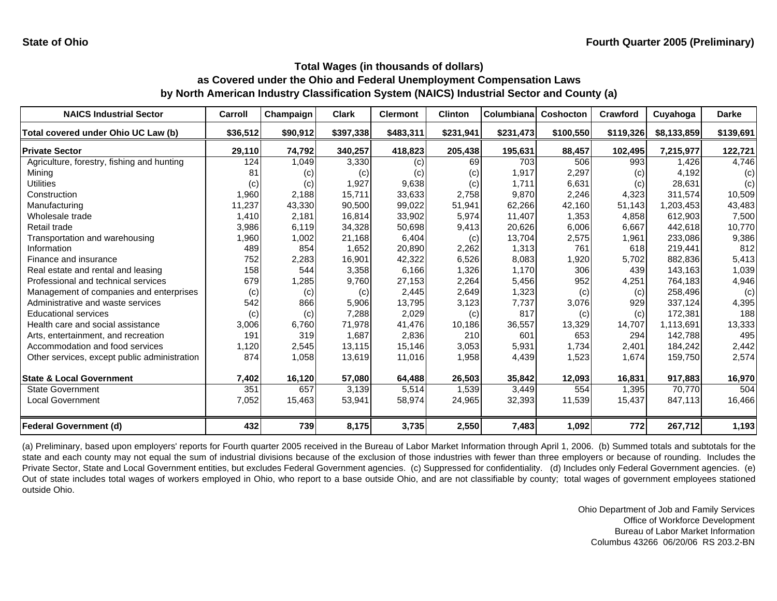| <b>NAICS Industrial Sector</b>               | Carroll  | Champaign | <b>Clark</b> | <b>Clermont</b> | <b>Clinton</b> | Columbiana | <b>Coshocton</b> | Crawford  | Cuyahoga    | <b>Darke</b> |
|----------------------------------------------|----------|-----------|--------------|-----------------|----------------|------------|------------------|-----------|-------------|--------------|
| Total covered under Ohio UC Law (b)          | \$36,512 | \$90,912  | \$397,338    | \$483,311       | \$231,941      | \$231,473  | \$100,550        | \$119,326 | \$8,133,859 | \$139,691    |
| <b>Private Sector</b>                        | 29,110   | 74,792    | 340,257      | 418,823         | 205,438        | 195,631    | 88,457           | 102,495   | 7,215,977   | 122,721      |
| Agriculture, forestry, fishing and hunting   | 124      | 1,049     | 3,330        | (c)             | 69             | 703        | 506              | 993       | 1.426       | 4,746        |
| Mining                                       | 81       | (c)       | (c)          | (c)             | (c)            | 1,917      | 2,297            | (c)       | 4,192       | (c)          |
| <b>Utilities</b>                             | (c)      | (c)       | 1,927        | 9,638           | (c)            | 1,711      | 6,631            | (c)       | 28,631      | (c)          |
| Construction                                 | 1,960    | 2,188     | 15,711       | 33,633          | 2,758          | 9,870      | 2,246            | 4,323     | 311,574     | 10,509       |
| Manufacturing                                | 11,237   | 43,330    | 90,500       | 99,022          | 51,941         | 62,266     | 42,160           | 51,143    | 1,203,453   | 43,483       |
| Wholesale trade                              | 1,410    | 2,181     | 16,814       | 33,902          | 5,974          | 11,407     | 1,353            | 4,858     | 612,903     | 7,500        |
| Retail trade                                 | 3,986    | 6,119     | 34,328       | 50,698          | 9,413          | 20,626     | 6,006            | 6,667     | 442,618     | 10,770       |
| Transportation and warehousing               | 1,960    | 1,002     | 21,168       | 6,404           | (c)            | 13,704     | 2,575            | 1,961     | 233,086     | 9,386        |
| Information                                  | 489      | 854       | 1,652        | 20,890          | 2,262          | 1,313      | 761              | 618       | 219,441     | 812          |
| Finance and insurance                        | 752      | 2,283     | 16,901       | 42,322          | 6,526          | 8,083      | 1,920            | 5,702     | 882,836     | 5,413        |
| Real estate and rental and leasing           | 158      | 544       | 3,358        | 6,166           | 1,326          | 1,170      | 306              | 439       | 143,163     | 1,039        |
| Professional and technical services          | 679      | 1,285     | 9,760        | 27,153          | 2,264          | 5,456      | 952              | 4,251     | 764,183     | 4,946        |
| Management of companies and enterprises      | (c)      | (c)       | (c)          | 2,445           | 2,649          | 1,323      | (c)              | (c)       | 258,496     | (c)          |
| Administrative and waste services            | 542      | 866       | 5,906        | 13,795          | 3,123          | 7,737      | 3,076            | 929       | 337,124     | 4,395        |
| <b>Educational services</b>                  | (c)      | (c)       | 7,288        | 2,029           | (c)            | 817        | (c)              | (c)       | 172,381     | 188          |
| Health care and social assistance            | 3,006    | 6,760     | 71,978       | 41,476          | 10,186         | 36,557     | 13,329           | 14,707    | 1,113,691   | 13,333       |
| Arts, entertainment, and recreation          | 191      | 319       | 1.687        | 2,836           | 210            | 601        | 653              | 294       | 142.788     | 495          |
| Accommodation and food services              | 1,120    | 2,545     | 13,115       | 15,146          | 3,053          | 5,931      | 1,734            | 2,401     | 184,242     | 2,442        |
| Other services, except public administration | 874      | 1,058     | 13,619       | 11,016          | 1,958          | 4,439      | 1,523            | 1,674     | 159,750     | 2,574        |
| <b>State &amp; Local Government</b>          | 7,402    | 16,120    | 57,080       | 64,488          | 26,503         | 35,842     | 12,093           | 16,831    | 917,883     | 16,970       |
| <b>State Government</b>                      | 351      | 657       | 3,139        | 5,514           | 1,539          | 3,449      | 554              | 1,395     | 70,770      | 504          |
| <b>Local Government</b>                      | 7,052    | 15,463    | 53,941       | 58,974          | 24,965         | 32,393     | 11,539           | 15,437    | 847,113     | 16,466       |
| <b>Federal Government (d)</b>                | 432      | 739       | 8,175        | 3,735           | 2,550          | 7,483      | 1,092            | 772       | 267,712     | 1,193        |

(a) Preliminary, based upon employers' reports for Fourth quarter 2005 received in the Bureau of Labor Market Information through April 1, 2006. (b) Summed totals and subtotals for the state and each county may not equal the sum of industrial divisions because of the exclusion of those industries with fewer than three employers or because of rounding. Includes the Private Sector, State and Local Government entities, but excludes Federal Government agencies. (c) Suppressed for confidentiality. (d) Includes only Federal Government agencies. (e) Out of state includes total wages of workers employed in Ohio, who report to a base outside Ohio, and are not classifiable by county; total wages of government employees stationed outside Ohio.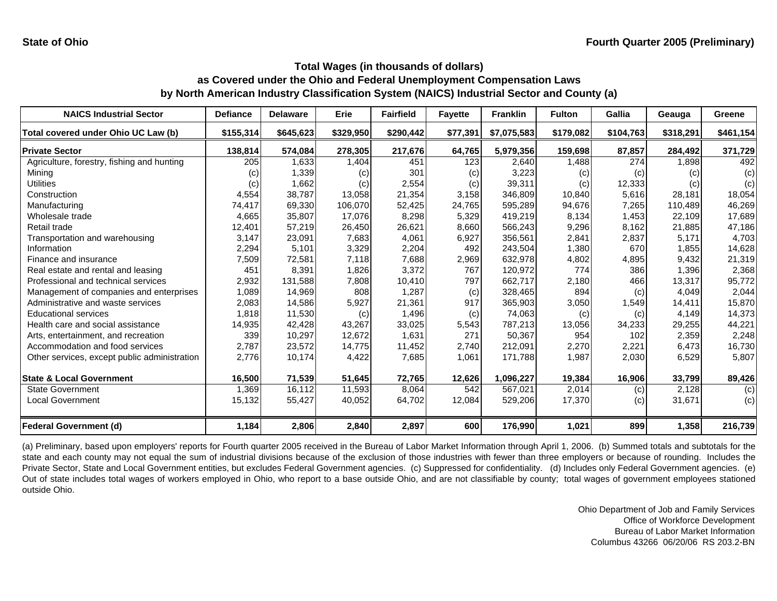| <b>NAICS Industrial Sector</b>               | <b>Defiance</b> | <b>Delaware</b> | Erie      | <b>Fairfield</b> | <b>Fayette</b> | <b>Franklin</b> | <b>Fulton</b> | Gallia    | Geauga    | Greene    |
|----------------------------------------------|-----------------|-----------------|-----------|------------------|----------------|-----------------|---------------|-----------|-----------|-----------|
| Total covered under Ohio UC Law (b)          | \$155,314       | \$645,623       | \$329,950 | \$290,442        | \$77,391       | \$7,075,583     | \$179,082     | \$104,763 | \$318,291 | \$461,154 |
| <b>Private Sector</b>                        | 138,814         | 574,084         | 278,305   | 217,676          | 64,765         | 5,979,356       | 159,698       | 87,857    | 284,492   | 371,729   |
| Agriculture, forestry, fishing and hunting   | 205             | 1,633           | 1,404     | 451              | 123            | 2,640           | 1,488         | 274       | 1,898     | 492       |
| Mining                                       | (c)             | 1,339           | (c)       | 301              | (c)            | 3,223           | (c)           | (c)       | (c)       | (c)       |
| <b>Utilities</b>                             | (c)             | 1,662           | (c)       | 2,554            | (c)            | 39,311          | (c)           | 12,333    | (c)       | (c)       |
| Construction                                 | 4,554           | 38,787          | 13,058    | 21,354           | 3,158          | 346,809         | 10,840        | 5,616     | 28.181    | 18,054    |
| Manufacturing                                | 74,417          | 69,330          | 106,070   | 52,425           | 24,765         | 595,289         | 94,676        | 7,265     | 110.489   | 46,269    |
| Wholesale trade                              | 4,665           | 35,807          | 17,076    | 8,298            | 5,329          | 419,219         | 8,134         | 1,453     | 22,109    | 17,689    |
| Retail trade                                 | 12,401          | 57,219          | 26,450    | 26,621           | 8,660          | 566,243         | 9,296         | 8,162     | 21,885    | 47,186    |
| Transportation and warehousing               | 3.147           | 23,091          | 7,683     | 4,061            | 6,927          | 356,561         | 2,841         | 2,837     | 5.171     | 4,703     |
| Information                                  | 2,294           | 5,101           | 3,329     | 2,204            | 492            | 243,504         | 1,380         | 670       | 1,855     | 14,628    |
| Finance and insurance                        | 7,509           | 72,581          | 7,118     | 7,688            | 2,969          | 632,978         | 4,802         | 4,895     | 9,432     | 21,319    |
| Real estate and rental and leasing           | 451             | 8,391           | 1,826     | 3,372            | 767            | 120,972         | 774           | 386       | 1,396     | 2,368     |
| Professional and technical services          | 2,932           | 131,588         | 7,808     | 10,410           | 797            | 662,717         | 2,180         | 466       | 13,317    | 95,772    |
| Management of companies and enterprises      | 1,089           | 14,969          | 808       | 1,287            | (c)            | 328,465         | 894           | (c)       | 4,049     | 2,044     |
| Administrative and waste services            | 2,083           | 14,586          | 5,927     | 21,361           | 917            | 365,903         | 3,050         | 1,549     | 14,411    | 15,870    |
| <b>Educational services</b>                  | 1,818           | 11,530          | (c)       | 1,496            | (c)            | 74,063          | (c)           | (c)       | 4,149     | 14,373    |
| Health care and social assistance            | 14,935          | 42,428          | 43,267    | 33,025           | 5,543          | 787,213         | 13,056        | 34,233    | 29,255    | 44,221    |
| Arts, entertainment, and recreation          | 339             | 10,297          | 12,672    | 1,631            | 271            | 50,367          | 954           | 102       | 2,359     | 2,248     |
| Accommodation and food services              | 2,787           | 23,572          | 14,775    | 11,452           | 2,740          | 212,091         | 2,270         | 2,221     | 6,473     | 16,730    |
| Other services, except public administration | 2,776           | 10,174          | 4,422     | 7,685            | 1,061          | 171,788         | 1,987         | 2,030     | 6,529     | 5,807     |
| <b>State &amp; Local Government</b>          | 16,500          | 71,539          | 51,645    | 72,765           | 12,626         | 1,096,227       | 19,384        | 16,906    | 33,799    | 89,426    |
| <b>State Government</b>                      | 1,369           | 16,112          | 11,593    | 8,064            | 542            | 567,021         | 2,014         | (c)       | 2,128     | (c)       |
| <b>Local Government</b>                      | 15,132          | 55,427          | 40,052    | 64,702           | 12,084         | 529,206         | 17,370        | (c)       | 31,671    | (c)       |
| <b>Federal Government (d)</b>                | 1,184           | 2,806           | 2,840     | 2,897            | 600            | 176,990         | 1,021         | 899       | 1,358     | 216,739   |

(a) Preliminary, based upon employers' reports for Fourth quarter 2005 received in the Bureau of Labor Market Information through April 1, 2006. (b) Summed totals and subtotals for the state and each county may not equal the sum of industrial divisions because of the exclusion of those industries with fewer than three employers or because of rounding. Includes the Private Sector, State and Local Government entities, but excludes Federal Government agencies. (c) Suppressed for confidentiality. (d) Includes only Federal Government agencies. (e) Out of state includes total wages of workers employed in Ohio, who report to a base outside Ohio, and are not classifiable by county; total wages of government employees stationed outside Ohio.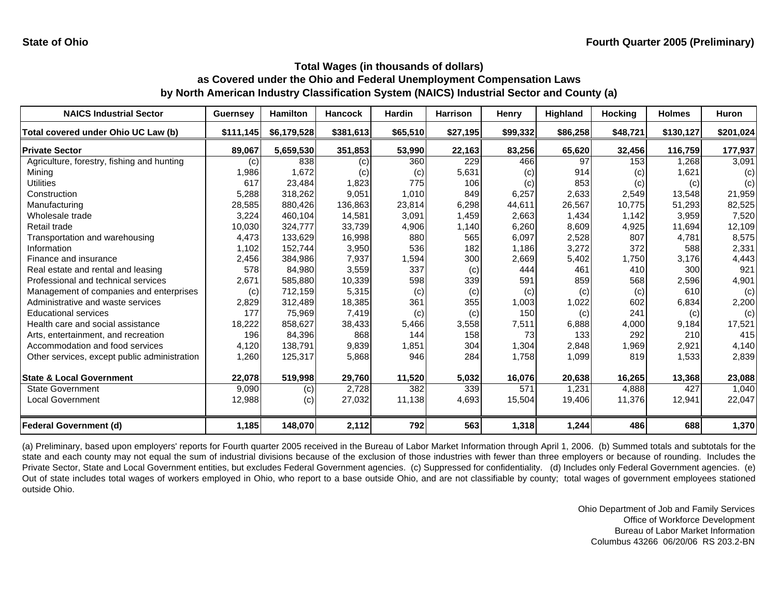| <b>NAICS Industrial Sector</b>               | <b>Guernsey</b> | <b>Hamilton</b> | <b>Hancock</b> | <b>Hardin</b> | <b>Harrison</b> | Henry    | <b>Highland</b> | <b>Hocking</b> | <b>Holmes</b> | <b>Huron</b> |
|----------------------------------------------|-----------------|-----------------|----------------|---------------|-----------------|----------|-----------------|----------------|---------------|--------------|
| Total covered under Ohio UC Law (b)          | \$111,145       | \$6,179,528     | \$381,613      | \$65,510      | \$27,195        | \$99,332 | \$86,258        | \$48,721       | \$130,127     | \$201,024    |
| <b>Private Sector</b>                        | 89,067          | 5,659,530       | 351,853        | 53,990        | 22,163          | 83,256   | 65,620          | 32,456         | 116,759       | 177,937      |
| Agriculture, forestry, fishing and hunting   | (c)             | 838             | (c)            | 360           | 229             | 466      | 97              | 153            | 1,268         | 3,091        |
| Mining                                       | 1,986           | 1,672           | (c)            | (c)           | 5,631           | (c)      | 914             | (c)            | 1,621         | (c)          |
| <b>Utilities</b>                             | 617             | 23,484          | 1,823          | 775           | 106             | (c)      | 853             | (c)            | (c)           | (c)          |
| Construction                                 | 5,288           | 318,262         | 9,051          | 1,010         | 849             | 6,257    | 2,633           | 2,549          | 13,548        | 21,959       |
| Manufacturing                                | 28,585          | 880,426         | 136,863        | 23,814        | 6,298           | 44,611   | 26,567          | 10,775         | 51,293        | 82,525       |
| Wholesale trade                              | 3,224           | 460.104         | 14,581         | 3,091         | 1,459           | 2,663    | 1,434           | 1.142          | 3,959         | 7,520        |
| Retail trade                                 | 10,030          | 324,777         | 33,739         | 4,906         | 1,140           | 6,260    | 8,609           | 4,925          | 11,694        | 12,109       |
| Transportation and warehousing               | 4,473           | 133,629         | 16,998         | 880           | 565             | 6,097    | 2,528           | 807            | 4,781         | 8,575        |
| Information                                  | 1,102           | 152,744         | 3,950          | 536           | 182             | 1,186    | 3,272           | 372            | 588           | 2,331        |
| Finance and insurance                        | 2,456           | 384,986         | 7,937          | 1,594         | 300             | 2,669    | 5,402           | 1,750          | 3.176         | 4,443        |
| Real estate and rental and leasing           | 578             | 84,980          | 3,559          | 337           | (c)             | 444      | 461             | 410            | 300           | 921          |
| Professional and technical services          | 2,671           | 585,880         | 10,339         | 598           | 339             | 591      | 859             | 568            | 2,596         | 4,901        |
| Management of companies and enterprises      | (c)             | 712,159         | 5,315          | (c)           | (c)             | (c)      | (c)             | (c)            | 610           | (c)          |
| Administrative and waste services            | 2,829           | 312,489         | 18,385         | 361           | 355             | 1,003    | 1,022           | 602            | 6,834         | 2,200        |
| <b>Educational services</b>                  | 177             | 75,969          | 7,419          | (c)           | (c)             | 150      | (c)             | 241            | (c)           | (c)          |
| Health care and social assistance            | 18,222          | 858,627         | 38,433         | 5,466         | 3,558           | 7,511    | 6,888           | 4,000          | 9,184         | 17,521       |
| Arts, entertainment, and recreation          | 196             | 84,396          | 868            | 144           | 158             | 73       | 133             | 292            | 210           | 415          |
| Accommodation and food services              | 4,120           | 138,791         | 9,839          | 1,851         | 304             | 1,304    | 2,848           | 1,969          | 2,921         | 4,140        |
| Other services, except public administration | 1,260           | 125,317         | 5,868          | 946           | 284             | 1,758    | 1,099           | 819            | 1,533         | 2,839        |
| <b>State &amp; Local Government</b>          | 22,078          | 519,998         | 29,760         | 11,520        | 5,032           | 16,076   | 20,638          | 16,265         | 13,368        | 23,088       |
| <b>State Government</b>                      | 9,090           | (c)             | 2,728          | 382           | 339             | 571      | 1.231           | 4,888          | 427           | 1,040        |
| <b>Local Government</b>                      | 12,988          | (c)             | 27,032         | 11,138        | 4,693           | 15,504   | 19,406          | 11,376         | 12,941        | 22,047       |
| <b>Federal Government (d)</b>                | 1,185           | 148,070         | 2,112          | 792           | 563             | 1,318    | 1,244           | 486            | 688           | 1,370        |

(a) Preliminary, based upon employers' reports for Fourth quarter 2005 received in the Bureau of Labor Market Information through April 1, 2006. (b) Summed totals and subtotals for the state and each county may not equal the sum of industrial divisions because of the exclusion of those industries with fewer than three employers or because of rounding. Includes the Private Sector, State and Local Government entities, but excludes Federal Government agencies. (c) Suppressed for confidentiality. (d) Includes only Federal Government agencies. (e) Out of state includes total wages of workers employed in Ohio, who report to a base outside Ohio, and are not classifiable by county; total wages of government employees stationed outside Ohio.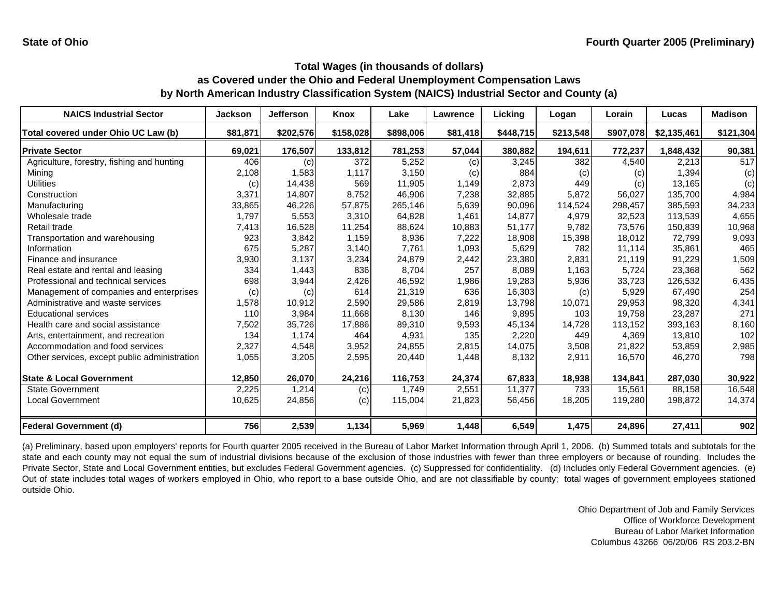| <b>NAICS Industrial Sector</b>               | <b>Jackson</b> | <b>Jefferson</b> | <b>Knox</b> | Lake      | <b>Lawrence</b> | Licking   | Logan     | Lorain    | Lucas       | <b>Madison</b> |
|----------------------------------------------|----------------|------------------|-------------|-----------|-----------------|-----------|-----------|-----------|-------------|----------------|
| Total covered under Ohio UC Law (b)          | \$81,871       | \$202,576        | \$158,028   | \$898,006 | \$81,418        | \$448,715 | \$213,548 | \$907,078 | \$2,135,461 | \$121,304      |
| <b>Private Sector</b>                        | 69,021         | 176,507          | 133,812     | 781,253   | 57,044          | 380,882   | 194,611   | 772,237   | 1,848,432   | 90,381         |
| Agriculture, forestry, fishing and hunting   | 406            | (c)              | 372         | 5,252     | (c)             | 3,245     | 382       | 4,540     | 2,213       | 517            |
| Mining                                       | 2,108          | 1,583            | 1,117       | 3,150     | (c)             | 884       | (c)       | (c)       | 1,394       | (c)            |
| <b>Utilities</b>                             | (c)            | 14,438           | 569         | 11,905    | 1,149           | 2,873     | 449       | (c)       | 13,165      | (c)            |
| Construction                                 | 3,371          | 14,807           | 8,752       | 46,906    | 7,238           | 32,885    | 5,872     | 56,027    | 135,700     | 4,984          |
| Manufacturing                                | 33,865         | 46,226           | 57,875      | 265,146   | 5,639           | 90,096    | 114,524   | 298,457   | 385,593     | 34,233         |
| Wholesale trade                              | 1,797          | 5,553            | 3,310       | 64,828    | 1,461           | 14,877    | 4,979     | 32,523    | 113,539     | 4,655          |
| Retail trade                                 | 7,413          | 16,528           | 11,254      | 88,624    | 10,883          | 51,177    | 9,782     | 73,576    | 150,839     | 10,968         |
| Transportation and warehousing               | 923            | 3,842            | 1,159       | 8,936     | 7,222           | 18,908    | 15,398    | 18,012    | 72,799      | 9,093          |
| Information                                  | 675            | 5,287            | 3,140       | 7,761     | 1,093           | 5,629     | 782       | 11.114    | 35,861      | 465            |
| Finance and insurance                        | 3,930          | 3,137            | 3,234       | 24,879    | 2,442           | 23,380    | 2,831     | 21,119    | 91,229      | 1,509          |
| Real estate and rental and leasing           | 334            | 1,443            | 836         | 8,704     | 257             | 8,089     | 1,163     | 5,724     | 23,368      | 562            |
| Professional and technical services          | 698            | 3,944            | 2,426       | 46,592    | 1,986           | 19,283    | 5,936     | 33,723    | 126,532     | 6,435          |
| Management of companies and enterprises      | (c)            | (c)              | 614         | 21,319    | 636             | 16,303    | (c)       | 5,929     | 67,490      | 254            |
| Administrative and waste services            | 1,578          | 10,912           | 2,590       | 29,586    | 2,819           | 13,798    | 10,071    | 29,953    | 98,320      | 4,341          |
| <b>Educational services</b>                  | 110            | 3,984            | 11,668      | 8,130     | 146             | 9,895     | 103       | 19,758    | 23,287      | 271            |
| Health care and social assistance            | 7,502          | 35,726           | 17,886      | 89,310    | 9,593           | 45,134    | 14,728    | 113,152   | 393,163     | 8,160          |
| Arts, entertainment, and recreation          | 134            | 1.174            | 464         | 4,931     | 135             | 2,220     | 449       | 4.369     | 13,810      | 102            |
| Accommodation and food services              | 2,327          | 4,548            | 3,952       | 24,855    | 2,815           | 14,075    | 3,508     | 21,822    | 53,859      | 2,985          |
| Other services, except public administration | 1,055          | 3,205            | 2,595       | 20,440    | 1,448           | 8,132     | 2,911     | 16,570    | 46,270      | 798            |
| <b>State &amp; Local Government</b>          | 12,850         | 26,070           | 24,216      | 116,753   | 24,374          | 67,833    | 18,938    | 134,841   | 287,030     | 30,922         |
| <b>State Government</b>                      | 2,225          | 1,214            | (c)         | 1,749     | 2,551           | 11,377    | 733       | 15,561    | 88,158      | 16,548         |
| <b>Local Government</b>                      | 10,625         | 24,856           | (c)         | 115,004   | 21,823          | 56,456    | 18,205    | 119,280   | 198,872     | 14,374         |
| <b>Federal Government (d)</b>                | 756            | 2,539            | 1,134       | 5,969     | 1,448           | 6,549     | 1,475     | 24,896    | 27,411      | 902            |

(a) Preliminary, based upon employers' reports for Fourth quarter 2005 received in the Bureau of Labor Market Information through April 1, 2006. (b) Summed totals and subtotals for the state and each county may not equal the sum of industrial divisions because of the exclusion of those industries with fewer than three employers or because of rounding. Includes the Private Sector, State and Local Government entities, but excludes Federal Government agencies. (c) Suppressed for confidentiality. (d) Includes only Federal Government agencies. (e) Out of state includes total wages of workers employed in Ohio, who report to a base outside Ohio, and are not classifiable by county; total wages of government employees stationed outside Ohio.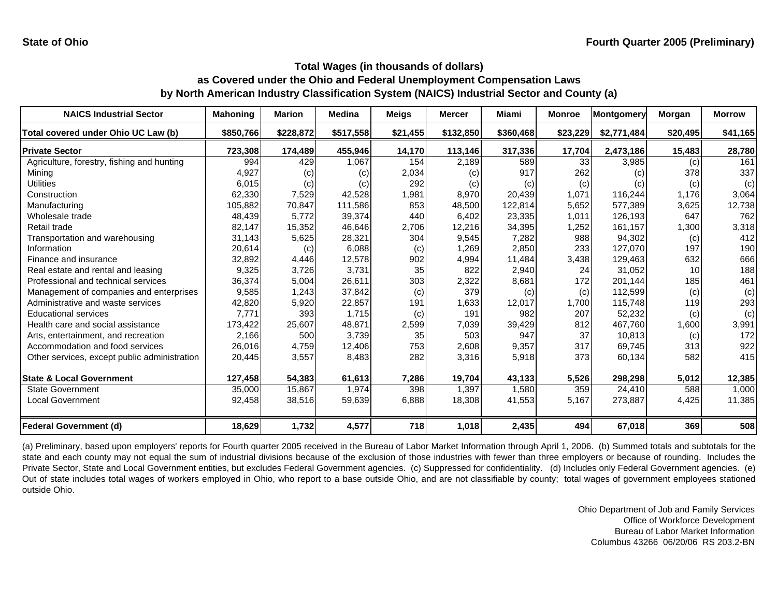| <b>NAICS Industrial Sector</b>               | <b>Mahoning</b> | <b>Marion</b> | <b>Medina</b> | <b>Meigs</b> | <b>Mercer</b> | Miami     | <b>Monroe</b>   | <b>Montgomery</b> | Morgan   | <b>Morrow</b> |
|----------------------------------------------|-----------------|---------------|---------------|--------------|---------------|-----------|-----------------|-------------------|----------|---------------|
| Total covered under Ohio UC Law (b)          | \$850,766       | \$228,872     | \$517,558     | \$21,455     | \$132,850     | \$360,468 | \$23,229        | \$2,771,484       | \$20,495 | \$41,165      |
| <b>Private Sector</b>                        | 723,308         | 174,489       | 455,946       | 14,170       | 113,146       | 317,336   | 17,704          | 2,473,186         | 15,483   | 28,780        |
| Agriculture, forestry, fishing and hunting   | 994             | 429           | 1,067         | 154          | 2,189         | 589       | 33 <sub>1</sub> | 3,985             | (c)      | 161           |
| Mining                                       | 4,927           | (c)           | (c)           | 2,034        | (c)           | 917       | 262             | (c)               | 378      | 337           |
| <b>Utilities</b>                             | 6,015           | (c)           | (c)           | 292          | (c)           | (c)       | (c)             | (c)               | (c)      | (c)           |
| Construction                                 | 62,330          | 7,529         | 42,528        | 1,981        | 8,970         | 20,439    | 1,071           | 116,244           | 1,176    | 3,064         |
| Manufacturing                                | 105,882         | 70,847        | 111,586       | 853          | 48,500        | 122,814   | 5,652           | 577,389           | 3,625    | 12,738        |
| Wholesale trade                              | 48,439          | 5,772         | 39,374        | 440          | 6,402         | 23,335    | 1.011           | 126.193           | 647      | 762           |
| Retail trade                                 | 82,147          | 15,352        | 46,646        | 2,706        | 12,216        | 34,395    | 1,252           | 161,157           | 1,300    | 3,318         |
| Transportation and warehousing               | 31,143          | 5,625         | 28,321        | 304          | 9,545         | 7,282     | 988             | 94,302            | (c)      | 412           |
| Information                                  | 20,614          | (c)           | 6,088         | (c)          | 1,269         | 2,850     | 233             | 127,070           | 197      | 190           |
| Finance and insurance                        | 32,892          | 4,446         | 12,578        | 902          | 4,994         | 11,484    | 3,438           | 129,463           | 632      | 666           |
| Real estate and rental and leasing           | 9,325           | 3,726         | 3,731         | 35           | 822           | 2,940     | 24              | 31,052            | 10       | 188           |
| Professional and technical services          | 36,374          | 5,004         | 26,611        | 303          | 2,322         | 8,681     | 172             | 201,144           | 185      | 461           |
| Management of companies and enterprises      | 9,585           | 1,243         | 37,842        | (c)          | 379           | (c)       | (c)             | 112,599           | (c)      | (c)           |
| Administrative and waste services            | 42,820          | 5,920         | 22,857        | 191          | 1,633         | 12,017    | 1,700           | 115,748           | 119      | 293           |
| <b>Educational services</b>                  | 7,771           | 393           | 1,715         | (c)          | 191           | 982       | 207             | 52,232            | (c)      | (c)           |
| Health care and social assistance            | 173,422         | 25,607        | 48,871        | 2,599        | 7,039         | 39,429    | 812             | 467,760           | 1,600    | 3,991         |
| Arts, entertainment, and recreation          | 2,166           | 500           | 3,739         | 35           | 503           | 947       | 37              | 10,813            | (c)      | 172           |
| Accommodation and food services              | 26,016          | 4,759         | 12,406        | 753          | 2,608         | 9,357     | 317             | 69,745            | 313      | 922           |
| Other services, except public administration | 20,445          | 3,557         | 8,483         | 282          | 3,316         | 5,918     | 373             | 60,134            | 582      | 415           |
| <b>State &amp; Local Government</b>          | 127,458         | 54,383        | 61,613        | 7,286        | 19,704        | 43,133    | 5,526           | 298,298           | 5,012    | 12,385        |
| <b>State Government</b>                      | 35,000          | 15,867        | 1.974         | 398          | 1,397         | 1,580     | 359             | 24.410            | 588      | 1,000         |
| <b>Local Government</b>                      | 92,458          | 38,516        | 59,639        | 6,888        | 18,308        | 41,553    | 5,167           | 273,887           | 4,425    | 11,385        |
| <b>Federal Government (d)</b>                | 18,629          | 1,732         | 4,577         | 718          | 1,018         | 2,435     | 494             | 67,018            | 369      | 508           |

(a) Preliminary, based upon employers' reports for Fourth quarter 2005 received in the Bureau of Labor Market Information through April 1, 2006. (b) Summed totals and subtotals for the state and each county may not equal the sum of industrial divisions because of the exclusion of those industries with fewer than three employers or because of rounding. Includes the Private Sector, State and Local Government entities, but excludes Federal Government agencies. (c) Suppressed for confidentiality. (d) Includes only Federal Government agencies. (e) Out of state includes total wages of workers employed in Ohio, who report to a base outside Ohio, and are not classifiable by county; total wages of government employees stationed outside Ohio.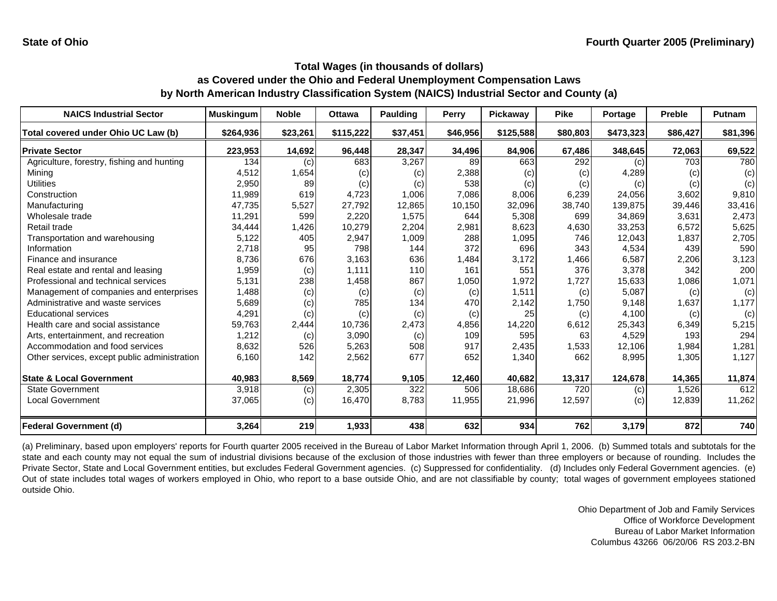| <b>NAICS Industrial Sector</b>               | <b>Muskingum</b> | <b>Noble</b> | <b>Ottawa</b> | Paulding | Perry    | Pickaway  | <b>Pike</b> | Portage   | <b>Preble</b> | <b>Putnam</b> |
|----------------------------------------------|------------------|--------------|---------------|----------|----------|-----------|-------------|-----------|---------------|---------------|
| Total covered under Ohio UC Law (b)          | \$264,936        | \$23,261     | \$115,222     | \$37,451 | \$46,956 | \$125,588 | \$80,803    | \$473,323 | \$86,427      | \$81,396      |
| <b>Private Sector</b>                        | 223,953          | 14,692       | 96,448        | 28,347   | 34,496   | 84,906    | 67,486      | 348,645   | 72,063        | 69,522        |
| Agriculture, forestry, fishing and hunting   | 134              | (c)          | 683           | 3,267    | 89       | 663       | 292         | (c)       | 703           | 780           |
| Mining                                       | 4,512            | 1,654        | (c)           | (c)      | 2,388    | (c)       | (c)         | 4,289     | (c)           | (c)           |
| <b>Utilities</b>                             | 2,950            | 89           | (c)           | (c)      | 538      | (c)       | (c)         | (c)       | (c)           | (c)           |
| Construction                                 | 11,989           | 619          | 4,723         | 1,006    | 7,086    | 8,006     | 6,239       | 24,056    | 3,602         | 9,810         |
| Manufacturing                                | 47,735           | 5,527        | 27,792        | 12,865   | 10,150   | 32,096    | 38,740      | 139,875   | 39,446        | 33,416        |
| Wholesale trade                              | 11,291           | 599          | 2,220         | 1,575    | 644      | 5,308     | 699         | 34.869    | 3,631         | 2,473         |
| Retail trade                                 | 34,444           | 1,426        | 10,279        | 2,204    | 2,981    | 8,623     | 4,630       | 33,253    | 6,572         | 5,625         |
| Transportation and warehousing               | 5,122            | 405          | 2,947         | 1,009    | 288      | 1,095     | 746         | 12,043    | 1,837         | 2,705         |
| Information                                  | 2,718            | 95           | 798           | 144      | 372      | 696       | 343         | 4,534     | 439           | 590           |
| Finance and insurance                        | 8,736            | 676          | 3,163         | 636      | 1,484    | 3,172     | 1,466       | 6,587     | 2,206         | 3,123         |
| Real estate and rental and leasing           | 1,959            | (c)          | 1.111         | 110      | 161      | 551       | 376         | 3,378     | 342           | 200           |
| Professional and technical services          | 5,131            | 238          | 1,458         | 867      | 1,050    | 1,972     | 1,727       | 15,633    | 1,086         | 1,071         |
| Management of companies and enterprises      | 1,488            | (c)          | (c)           | (c)      | (c)      | 1,511     | (c)         | 5,087     | (c)           | (c)           |
| Administrative and waste services            | 5,689            | (c)          | 785           | 134      | 470      | 2,142     | 1,750       | 9,148     | 1,637         | 1,177         |
| <b>Educational services</b>                  | 4,291            | (c)          | (c)           | (c)      | (c)      | 25        | (c)         | 4,100     | (c)           | (c)           |
| Health care and social assistance            | 59,763           | 2,444        | 10,736        | 2,473    | 4,856    | 14,220    | 6,612       | 25,343    | 6,349         | 5,215         |
| Arts, entertainment, and recreation          | 1,212            | (c)          | 3,090         | (c)      | 109      | 595       | 63          | 4.529     | 193           | 294           |
| Accommodation and food services              | 8,632            | 526          | 5,263         | 508      | 917      | 2,435     | 1,533       | 12,106    | 1,984         | 1,281         |
| Other services, except public administration | 6,160            | 142          | 2,562         | 677      | 652      | 1,340     | 662         | 8,995     | 1,305         | 1,127         |
| <b>State &amp; Local Government</b>          | 40,983           | 8,569        | 18,774        | 9,105    | 12,460   | 40,682    | 13,317      | 124,678   | 14,365        | 11,874        |
| <b>State Government</b>                      | 3,918            | (c)          | 2,305         | 322      | 506      | 18,686    | 720         | (c)       | 1,526         | 612           |
| <b>Local Government</b>                      | 37,065           | (c)          | 16,470        | 8,783    | 11,955   | 21,996    | 12,597      | (c)       | 12,839        | 11,262        |
| <b>Federal Government (d)</b>                | 3,264            | 219          | 1,933         | 438      | 632      | 934       | 762         | 3,179     | 872           | 740           |

(a) Preliminary, based upon employers' reports for Fourth quarter 2005 received in the Bureau of Labor Market Information through April 1, 2006. (b) Summed totals and subtotals for the state and each county may not equal the sum of industrial divisions because of the exclusion of those industries with fewer than three employers or because of rounding. Includes the Private Sector, State and Local Government entities, but excludes Federal Government agencies. (c) Suppressed for confidentiality. (d) Includes only Federal Government agencies. (e) Out of state includes total wages of workers employed in Ohio, who report to a base outside Ohio, and are not classifiable by county; total wages of government employees stationed outside Ohio.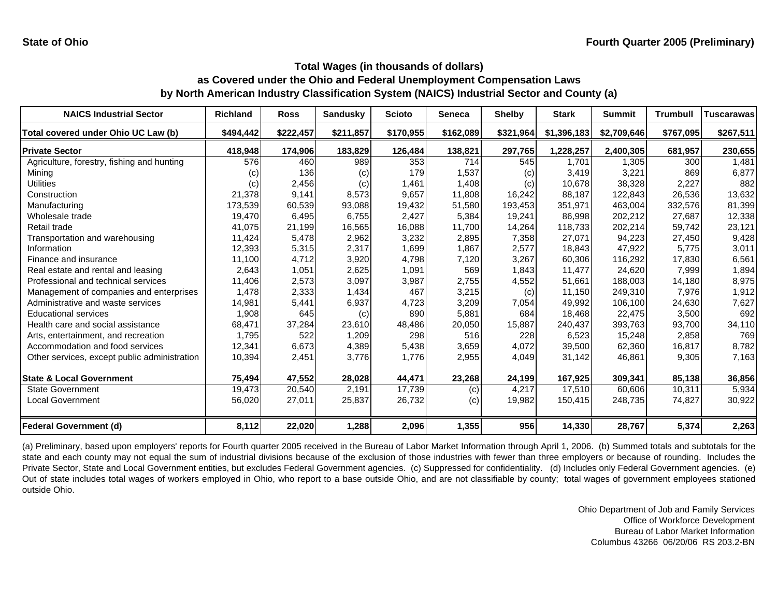| <b>NAICS Industrial Sector</b>               | <b>Richland</b> | <b>Ross</b> | <b>Sandusky</b> | <b>Scioto</b> | <b>Seneca</b> | <b>Shelby</b> | <b>Stark</b> | <b>Summit</b> | <b>Trumbull</b> | <b>Tuscarawas</b> |
|----------------------------------------------|-----------------|-------------|-----------------|---------------|---------------|---------------|--------------|---------------|-----------------|-------------------|
| Total covered under Ohio UC Law (b)          | \$494,442       | \$222,457   | \$211,857       | \$170,955     | \$162,089     | \$321,964     | \$1,396,183  | \$2,709,646   | \$767,095       | \$267,511         |
| <b>Private Sector</b>                        | 418,948         | 174,906     | 183,829         | 126,484       | 138,821       | 297,765       | 1,228,257    | 2,400,305     | 681,957         | 230,655           |
| Agriculture, forestry, fishing and hunting   | 576             | 460         | 989             | 353           | 714           | 545           | 1,701        | 1,305         | 300             | 1,481             |
| Mining                                       | (C)             | 136         | (c)             | 179           | 1,537         | (c)           | 3,419        | 3,221         | 869             | 6,877             |
| <b>Utilities</b>                             | (c)             | 2,456       | (c)             | 1,461         | 1,408         | (c)           | 10,678       | 38,328        | 2,227           | 882               |
| Construction                                 | 21,378          | 9,141       | 8,573           | 9,657         | 11,808        | 16,242        | 88,187       | 122,843       | 26,536          | 13,632            |
| Manufacturing                                | 173,539         | 60,539      | 93,088          | 19,432        | 51,580        | 193,453       | 351,971      | 463,004       | 332,576         | 81,399            |
| Wholesale trade                              | 19,470          | 6,495       | 6,755           | 2,427         | 5,384         | 19,241        | 86,998       | 202,212       | 27,687          | 12,338            |
| Retail trade                                 | 41,075          | 21,199      | 16,565          | 16,088        | 11,700        | 14,264        | 118,733      | 202,214       | 59,742          | 23,121            |
| Transportation and warehousing               | 11,424          | 5,478       | 2,962           | 3,232         | 2,895         | 7,358         | 27,071       | 94,223        | 27,450          | 9,428             |
| Information                                  | 12,393          | 5,315       | 2,317           | 1,699         | 1,867         | 2,577         | 18,843       | 47,922        | 5,775           | 3,011             |
| Finance and insurance                        | 11,100          | 4,712       | 3,920           | 4,798         | 7,120         | 3,267         | 60,306       | 116,292       | 17,830          | 6,561             |
| Real estate and rental and leasing           | 2,643           | 1,051       | 2,625           | 1,091         | 569           | 1,843         | 11,477       | 24,620        | 7,999           | 1,894             |
| Professional and technical services          | 11,406          | 2,573       | 3,097           | 3,987         | 2,755         | 4,552         | 51,661       | 188,003       | 14,180          | 8,975             |
| Management of companies and enterprises      | 1,478           | 2,333       | 1,434           | 467           | 3,215         | (c)           | 11,150       | 249,310       | 7,976           | 1,912             |
| Administrative and waste services            | 14,981          | 5,441       | 6,937           | 4,723         | 3,209         | 7,054         | 49,992       | 106,100       | 24,630          | 7,627             |
| <b>Educational services</b>                  | 1,908           | 645         | (c)             | 890           | 5,881         | 684           | 18,468       | 22,475        | 3,500           | 692               |
| Health care and social assistance            | 68,471          | 37,284      | 23,610          | 48,486        | 20,050        | 15,887        | 240,437      | 393,763       | 93,700          | 34,110            |
| Arts, entertainment, and recreation          | 1,795           | 522         | 1,209           | 298           | 516           | 228           | 6,523        | 15,248        | 2,858           | 769               |
| Accommodation and food services              | 12,341          | 6,673       | 4,389           | 5,438         | 3,659         | 4,072         | 39,500       | 62,360        | 16,817          | 8,782             |
| Other services, except public administration | 10,394          | 2,451       | 3,776           | 1,776         | 2,955         | 4,049         | 31,142       | 46,861        | 9,305           | 7,163             |
| <b>State &amp; Local Government</b>          | 75,494          | 47,552      | 28,028          | 44,471        | 23,268        | 24,199        | 167,925      | 309,341       | 85,138          | 36,856            |
| <b>State Government</b>                      | 19,473          | 20,540      | 2,191           | 17,739        | (c)           | 4,217         | 17,510       | 60.606        | 10,311          | 5,934             |
| <b>Local Government</b>                      | 56,020          | 27,011      | 25,837          | 26,732        | (c)           | 19,982        | 150,415      | 248,735       | 74,827          | 30,922            |
| <b>Federal Government (d)</b>                | 8,112           | 22,020      | 1,288           | 2,096         | 1,355         | 956           | 14,330       | 28,767        | 5,374           | 2,263             |

(a) Preliminary, based upon employers' reports for Fourth quarter 2005 received in the Bureau of Labor Market Information through April 1, 2006. (b) Summed totals and subtotals for the state and each county may not equal the sum of industrial divisions because of the exclusion of those industries with fewer than three employers or because of rounding. Includes the Private Sector, State and Local Government entities, but excludes Federal Government agencies. (c) Suppressed for confidentiality. (d) Includes only Federal Government agencies. (e) Out of state includes total wages of workers employed in Ohio, who report to a base outside Ohio, and are not classifiable by county; total wages of government employees stationed outside Ohio.